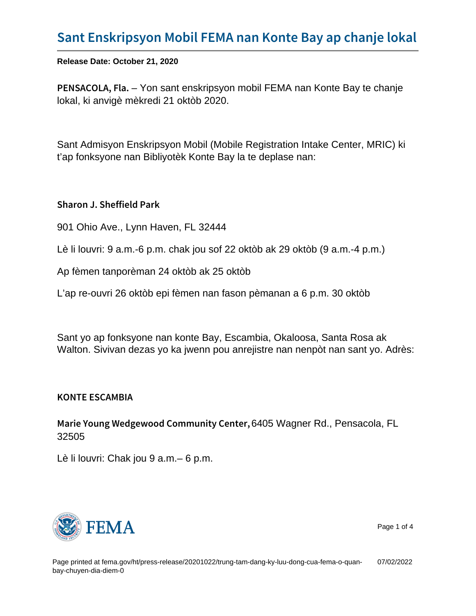## [Sant Enskripsyon Mobil FEMA nan K](https://www.fema.gov/ht/press-release/20201022/trung-tam-dang-ky-luu-dong-cua-fema-o-quan-bay-chuyen-dia-diem-0)onte B

Release Date: October 21, 2020

PENSACOL-AY on Fishat enskripsyon mobil FEMA nan Konte Bay te chanje lokal, ki anvigè mèkredi 21 oktòb 2020.

Sant Admisyon Enskripsyon Mobil (Mobile Registration Intake Center, MRIC) ki t'ap fonksyone nan Bibliyotèk Konte Bay la te deplase nan:

Sharon J. Sheffield Park

901 Ohio Ave., Lynn Haven, FL 32444

Lè li louvri: 9 a.m.-6 p.m. chak jou sof 22 oktòb ak 29 oktòb (9 a.m.-4 p.m.)

Ap fèmen tanporèman 24 oktòb ak 25 oktòb

L'ap re-ouvri 26 oktòb epi fèmen nan fason pèmanan a 6 p.m. 30 oktòb

Sant yo ap fonksyone nan konte Bay, Escambia, Okaloosa, Santa Rosa ak Walton. Sivivan dezas yo ka jwenn pou anrejistre nan nenpòt nan sant yo. Adrès:

KONTE ESCAMBIA

Marie Young Wedgewood Co64405 Wagner Rd.e Phetnessacola, FL 32505

Lè li louvri: Chak jou 9 a.m.– 6 p.m.



Page 1 of 4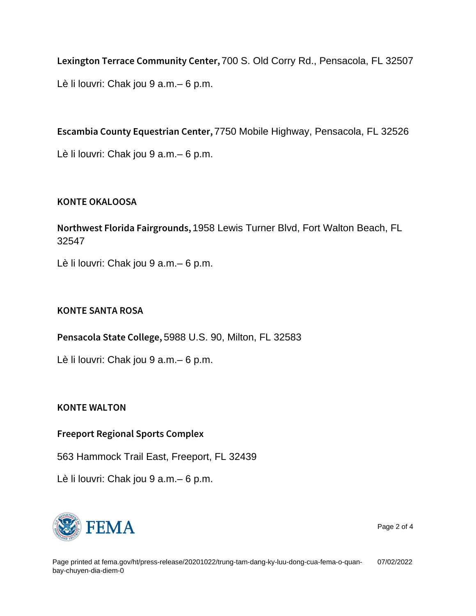Lexington Terrace Com 700 S.i Old Coery Red., Pensacola, FL 32507 Lè li louvri: Chak jou 9 a.m.– 6 p.m.

Escambia County Eque73750 Machile Chightway, Pensacola, FL 32526 Lè li louvri: Chak jou 9 a.m.– 6 p.m.

## KONTE OKALOOSA

Northwest Florida Flatia CewoisulTrucher, Blvd, Fort Walton Beach, FL 32547

Lè li louvri: Chak jou 9 a.m.– 6 p.m.

## KONTE SANTA ROSA

Pensacola Stat $\text{\textsterling}988$  U.S.  $\text{\textsterling}99,$  e Milton, FL 32583

Lè li louvri: Chak jou 9 a.m.– 6 p.m.

KONTE WALTON

Freeport Regional Sports Complex

563 Hammock Trail East, Freeport, FL 32439

Lè li louvri: Chak jou 9 a.m.– 6 p.m.



Page 2 of 4

Page printed at [fema.gov/ht/press-release/20201022/trung-tam-dang-ky-luu-dong-cua-fema-o-quan](https://www.fema.gov/ht/press-release/20201022/trung-tam-dang-ky-luu-dong-cua-fema-o-quan-bay-chuyen-dia-diem-0)[bay-chuyen-dia-diem-0](https://www.fema.gov/ht/press-release/20201022/trung-tam-dang-ky-luu-dong-cua-fema-o-quan-bay-chuyen-dia-diem-0) 07/02/2022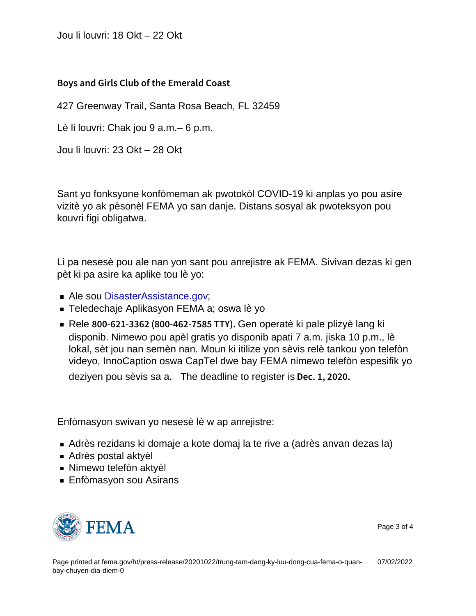Jou li louvri: 18 Okt – 22 Okt

Boys and Girls Club of the Emerald Coast

427 Greenway Trail, Santa Rosa Beach, FL 32459

Lè li louvri: Chak jou 9 a.m.– 6 p.m.

Jou li louvri: 23 Okt – 28 Okt

Sant yo fonksyone konfòmeman ak pwotokòl COVID-19 ki anplas yo pou asire vizitè yo ak pèsonèl FEMA yo san danje. Distans sosyal ak pwoteksyon pou kouvri figi obligatwa.

Li pa nesesè pou ale nan yon sant pou anrejistre ak FEMA. Sivivan dezas ki gen pèt ki pa asire ka aplike tou lè yo:

- **Ale sou [DisasterAssistance.gov](http://disasterassistance.gov/);**
- Teledechaje Aplikasyon FEMA a; oswa lè yo
- Rele  $800 621 3362$  ( $800 462$ )  $-464$ <sub>2</sub>. Gpf at 6 ki pale plizyè lang ki disponib. Nimewo pou apèl gratis yo disponib apati 7 a.m. jiska 10 p.m., lè lokal, sèt jou nan semèn nan. Moun ki itilize yon sèvis relè tankou yon telefòn videyo, InnoCaption oswa CapTel dwe bay FEMA nimewo telefòn espesifik yo deziyen pou sèvis sa a. The deadline to register is Dec. 1, 2020.

Enfòmasyon swivan yo nesesè lè w ap anrejistre:

- Adrès rezidans ki domaje a kote domaj la te rive a (adrès anvan dezas la)
- Adrès postal aktyèl
- Nimewo telefòn aktyèl
- Enfòmasyon sou Asirans